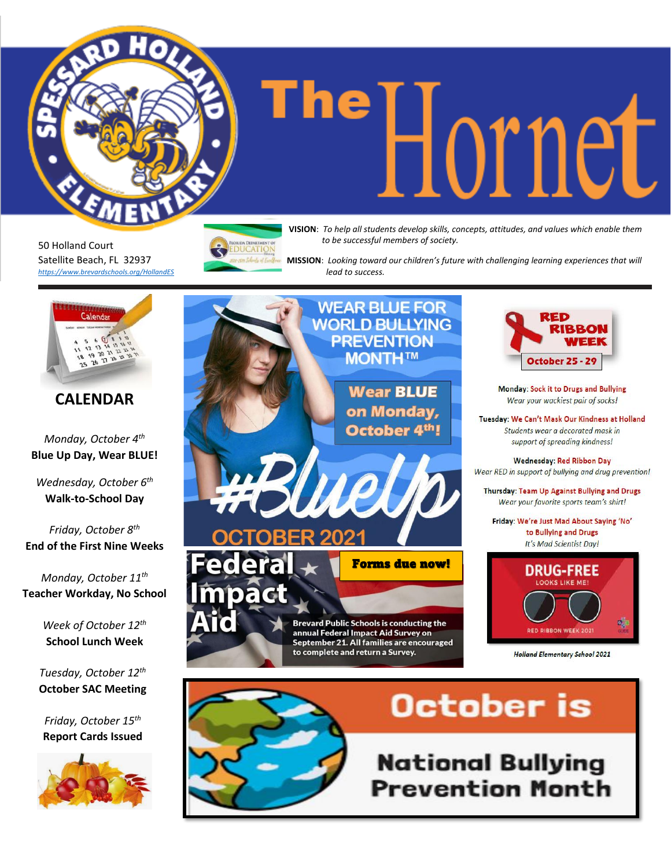

# **The DUDE MEDICAL Students develop skills, concepts, attitudes, and values which enable them**

50 Holland Court Satellite Beach, FL 32937 *<https://www.brevardschools.org/HollandES>* **DUCATION** 

*to be successful members of society.*

 **MISSION**: *Looking toward our children's future with challenging learning experiences that will lead to success.*



*Friday, October 15th* **Report Cards Issued**



**National Bullying Prevention Month**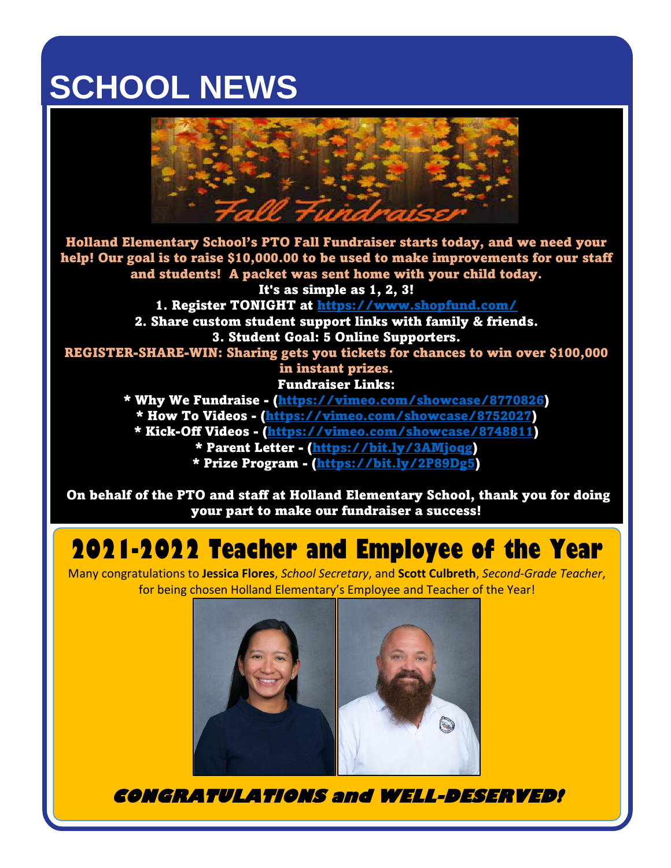### **SCHOOL NEWS**



Holland Elementary School's PTO Fall Fundraiser starts today, and we need your help! Our goal is to raise \$10,000.00 to be used to make improvements for our staff and students! A packet was sent home with your child today. It's as simple as 1, 2, 3!

1. Register TONIGHT at<https://www.shopfund.com/>

2. Share custom student support links with family & friends. 3. Student Goal: 5 Online Supporters.

REGISTER-SHARE-WIN: Sharing gets you tickets for chances to win over \$100,000 in instant prizes.

Fundraiser Links:

\* Why We Fundraise - [\(https://vimeo.com/showcase/8770826\)](https://vimeo.com/showcase/8770826) \* How To Videos - [\(https://vimeo.com/showcase/8752027\)](https://vimeo.com/showcase/8752027) \* Kick-Off Videos - [\(https://vimeo.com/showcase/8748811\)](https://vimeo.com/showcase/8748811) \* Parent Letter - [\(https://bit.ly/3AMjoqg\)](https://bit.ly/3AMjoqg) \* Prize Program - [\(https://bit.ly/2P89Dg5\)](https://bit.ly/2P89Dg5)

On behalf of the PTO and staff at Holland Elementary School, thank you for doing your part to make our fundraiser a success!

#### **2021-2022 Teacher and Employee of the Year**

Many congratulations to **Jessica Flores**, *School Secretary*, and **Scott Culbreth**, *Second-Grade Teacher*, for being chosen Holland Elementary's Employee and Teacher of the Year!



**CONGRATULATIONS and WELL-DESERVED!**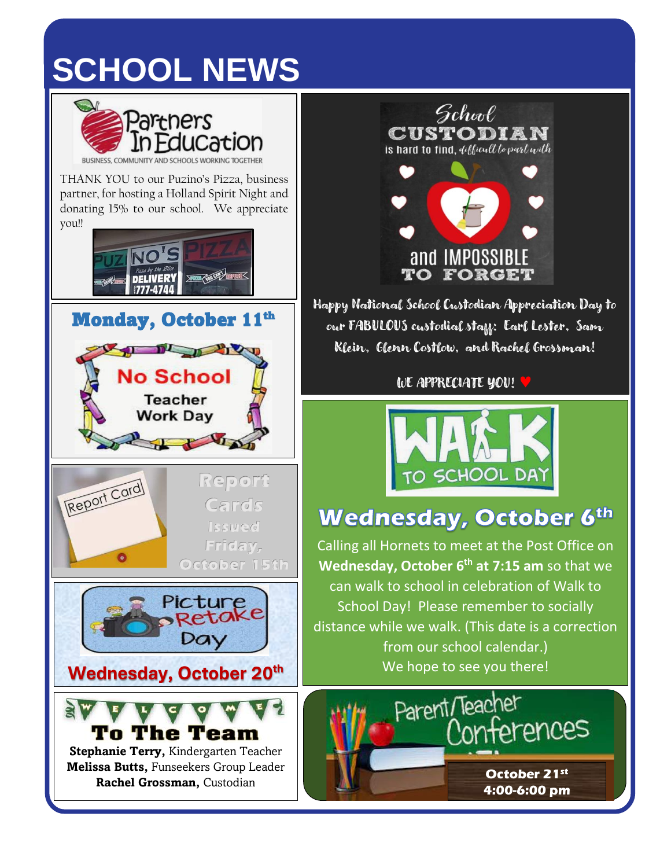## **SCHOOL NEWS**



THANK YOU to our Puzino's Pizza, business partner, for hosting a Holland Spirit Night and donating 15% to our school. We appreciate you!!











**Stephanie Terry,** Kindergarten Teacher **Melissa Butts,** Funseekers Group Leader **Rachel Grossman,** Custodian



Happy National School Custodian Appreciation Day to our FABULOUS custodial staff: Earl Lester, Sam Klein, Glenn Costlow, and Rachel Grossman!

WE APPRECIATE YOU!



#### **Wednesday, October 6th**

Calling all Hornets to meet at the Post Office on **Wednesday, October 6 th at 7:15 am** so that we can walk to school in celebration of Walk to School Day! Please remember to socially distance while we walk. (This date is a correction from our school calendar.) We hope to see you there!